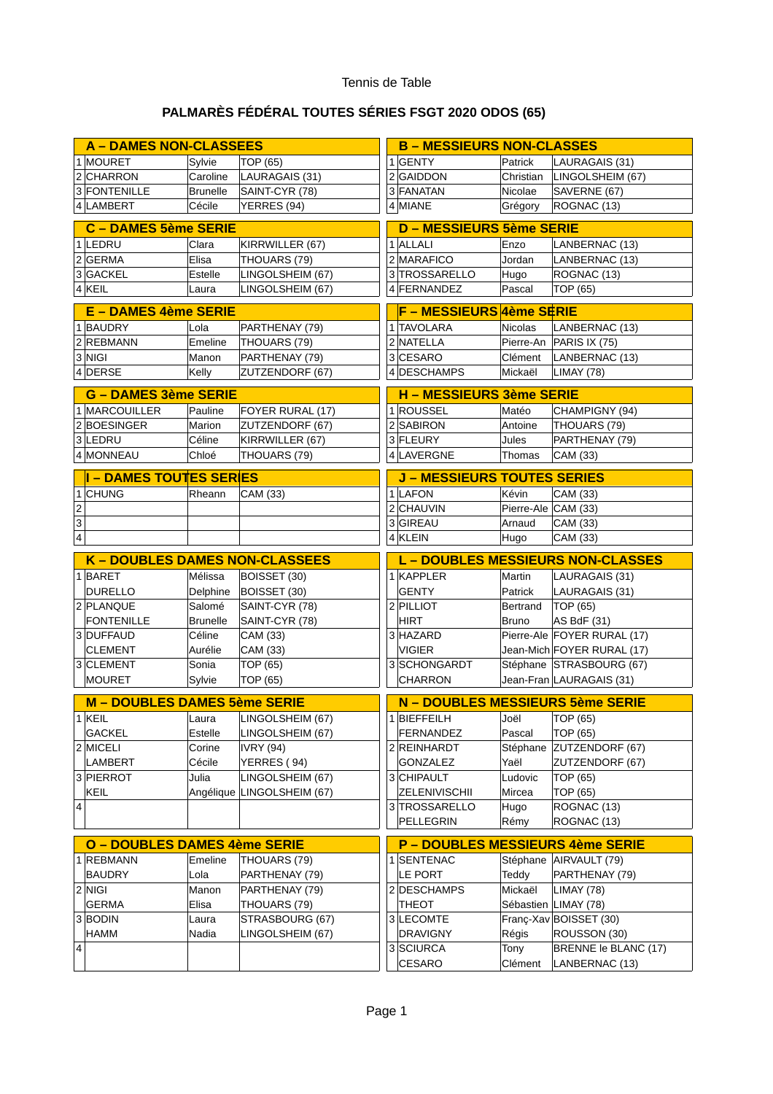## Tennis de Table

## **PALMARÈS FÉDÉRAL TOUTES SÉRIES FSGT 2020 ODOS (65)**

|                         | <b>A - DAMES NON-CLASSEES</b>         |                 |                            | <b>B - MESSIEURS NON-CLASSES</b>         |                                         |                     |                             |  |  |
|-------------------------|---------------------------------------|-----------------|----------------------------|------------------------------------------|-----------------------------------------|---------------------|-----------------------------|--|--|
|                         | 1 MOURET                              | Sylvie          | TOP (65)                   |                                          | $1$ GENTY                               | Patrick             | LAURAGAIS (31)              |  |  |
|                         | 2 CHARRON                             | Caroline        | LAURAGAIS (31)             |                                          | 2 GAIDDON                               | Christian           | LINGOLSHEIM (67)            |  |  |
|                         | 3 FONTENILLE                          | <b>Brunelle</b> | SAINT-CYR (78)             |                                          | 3 FANATAN                               | Nicolae             | SAVERNE (67)                |  |  |
|                         | 4 LAMBERT                             | Cécile          | YERRES (94)                |                                          | 4 MIANE                                 | Grégory             | ROGNAC (13)                 |  |  |
| C - DAMES 5ème SERIE    |                                       |                 |                            |                                          | <b>D - MESSIEURS 5ème SERIE</b>         |                     |                             |  |  |
|                         | 1 LEDRU                               | Clara           | KIRRWILLER (67)            |                                          | $1$ ALLALI                              |                     |                             |  |  |
|                         |                                       |                 |                            |                                          | 2 MARAFICO                              | Enzo                | LANBERNAC (13)              |  |  |
|                         | $2$ GERMA                             | Elisa           | THOUARS (79)               |                                          |                                         | Jordan              | LANBERNAC (13)              |  |  |
|                         | 3 GACKEL                              | Estelle         | LINGOLSHEIM (67)           |                                          | 3 TROSSARELLO                           | Hugo                | ROGNAC (13)                 |  |  |
|                         | 4 KEIL                                | Laura           | LINGOLSHEIM (67)           |                                          | 4 FERNANDEZ                             | Pascal              | TOP (65)                    |  |  |
|                         | <b>E - DAMES 4ème SERIE</b>           |                 |                            |                                          | F - MESSIEURS 4ème SERIE                |                     |                             |  |  |
|                         | 1 BAUDRY                              | Lola            | PARTHENAY (79)             |                                          | 1 TAVOLARA                              | Nicolas             | LANBERNAC (13)              |  |  |
|                         | 2 REBMANN                             | Emeline         | THOUARS (79)               |                                          | 2 NATELLA                               |                     | Pierre-An   PARIS IX (75)   |  |  |
|                         | 3 NIGI                                | Manon           | PARTHENAY (79)             |                                          | 3 CESARO                                | Clément             | LANBERNAC (13)              |  |  |
|                         | 4 DERSE                               | Kelly           | ZUTZENDORF (67)            |                                          | 4 DESCHAMPS                             | Mickaël             | LIMAY (78)                  |  |  |
|                         | <b>G - DAMES 3ème SERIE</b>           |                 |                            | <b>H - MESSIEURS 3ème SERIE</b>          |                                         |                     |                             |  |  |
|                         | 1 MARCOUILLER                         | Pauline         | FOYER RURAL (17)           |                                          | 1 ROUSSEL                               | Matéo               | CHAMPIGNY (94)              |  |  |
|                         | 2 BOESINGER                           | Marion          | ZUTZENDORF (67)            |                                          | 2 SABIRON                               | Antoine             | THOUARS (79)                |  |  |
|                         | 3 LEDRU                               | Céline          | KIRRWILLER (67)            |                                          | 3 FLEURY                                | Jules               | PARTHENAY (79)              |  |  |
|                         | 4 MONNEAU                             | Chloé           | THOUARS (79)               |                                          | 4 LAVERGNE                              | Thomas              | CAM (33)                    |  |  |
|                         |                                       |                 |                            |                                          |                                         |                     |                             |  |  |
|                         | <b>I - DAMES TOUTES SERIES</b>        |                 |                            |                                          | <b>J - MESSIEURS TOUTES SERIES</b>      |                     |                             |  |  |
|                         | 1 CHUNG                               | Rheann          | CAM (33)                   |                                          | 1 LAFON                                 | Kévin               | CAM (33)                    |  |  |
| $\overline{c}$          |                                       |                 |                            |                                          | 2 CHAUVIN                               | Pierre-Ale CAM (33) |                             |  |  |
| 3                       |                                       |                 |                            |                                          | 3 GIREAU                                | Arnaud              | CAM (33)                    |  |  |
| $\overline{\mathbf{4}}$ |                                       |                 |                            |                                          | $4$ KLEIN                               | Hugo                | CAM (33)                    |  |  |
|                         | <b>K - DOUBLES DAMES NON-CLASSEES</b> |                 |                            | <b>L - DOUBLES MESSIEURS NON-CLASSES</b> |                                         |                     |                             |  |  |
|                         |                                       |                 |                            |                                          |                                         |                     |                             |  |  |
|                         | 1 BARET                               | Mélissa         | BOISSET (30)               |                                          | $1$ KAPPLER                             | Martin              | LAURAGAIS (31)              |  |  |
|                         | <b>DURELLO</b>                        | Delphine        | BOISSET (30)               |                                          | <b>GENTY</b>                            | Patrick             | LAURAGAIS (31)              |  |  |
|                         | 2 PLANQUE                             | Salomé          | SAINT-CYR (78)             |                                          | 2 PILLIOT                               | Bertrand            | TOP (65)                    |  |  |
|                         | <b>FONTENILLE</b>                     | <b>Brunelle</b> | SAINT-CYR (78)             |                                          | <b>HIRT</b>                             | <b>Bruno</b>        | AS BdF (31)                 |  |  |
|                         | 3 DUFFAUD                             | Céline          | CAM (33)                   |                                          | 3 HAZARD                                |                     | Pierre-Ale FOYER RURAL (17) |  |  |
|                         | <b>CLEMENT</b>                        | Aurélie         | CAM (33)                   |                                          | VIGIER                                  |                     | Jean-Mich FOYER RURAL (17)  |  |  |
|                         | 3 CLEMENT                             | Sonia           | TOP (65)                   |                                          | 3 SCHONGARDT                            |                     | Stéphane STRASBOURG (67)    |  |  |
|                         | <b>MOURET</b>                         | Sylvie          | TOP (65)                   |                                          | <b>CHARRON</b>                          |                     | Jean-Fran LAURAGAIS (31)    |  |  |
|                         |                                       |                 |                            |                                          |                                         |                     |                             |  |  |
|                         | M - DOUBLES DAMES 5ème SERIE          |                 |                            |                                          | N - DOUBLES MESSIEURS 5ème SERIE        |                     |                             |  |  |
|                         | $1$ KEIL                              |                 | Laura LINGOLSHEIM (67)     |                                          | $1$ BIEFFEILH                           |                     |                             |  |  |
|                         | <b>GACKEL</b>                         | Estelle         | LINGOLSHEIM (67)           |                                          | FERNANDEZ                               | Pascal              | TOP (65)                    |  |  |
|                         | 2 MICELI                              | Corine          | IVRY (94)                  |                                          | 2 REINHARDT                             | Stéphane            | ZUTZENDORF (67)             |  |  |
|                         | <b>LAMBERT</b>                        | Cécile          | YERRES (94)                |                                          | <b>GONZALEZ</b>                         | Yaël                | ZUTZENDORF (67)             |  |  |
|                         | 3 PIERROT                             | Julia           | LINGOLSHEIM (67)           |                                          | 3 CHIPAULT                              | Ludovic             | TOP (65)                    |  |  |
|                         | KEIL                                  |                 | Angélique LINGOLSHEIM (67) |                                          | <b>ZELENIVISCHII</b>                    | Mircea              | TOP (65)                    |  |  |
| 4                       |                                       |                 |                            |                                          | 3 TROSSARELLO                           | Hugo                | ROGNAC (13)                 |  |  |
|                         |                                       |                 |                            |                                          | PELLEGRIN                               | Rémy                | ROGNAC (13)                 |  |  |
|                         | <b>O - DOUBLES DAMES 4ème SERIE</b>   |                 |                            |                                          | <b>P - DOUBLES MESSIEURS 4ème SERIE</b> |                     |                             |  |  |
|                         | 1 REBMANN                             | Emeline         | THOUARS (79)               |                                          | 1 SENTENAC                              |                     | Stéphane AIRVAULT (79)      |  |  |
|                         | <b>BAUDRY</b>                         | Lola            | PARTHENAY (79)             |                                          | LE PORT                                 | Teddy               | PARTHENAY (79)              |  |  |
|                         | $2$ NIGI                              | Manon           | PARTHENAY (79)             |                                          | 2 DESCHAMPS                             | Mickaël             | LIMAY (78)                  |  |  |
|                         | <b>GERMA</b>                          | Elisa           | THOUARS (79)               |                                          | <b>THEOT</b>                            |                     | Sébastien LIMAY (78)        |  |  |
|                         | 3 BODIN                               | Laura           | STRASBOURG (67)            |                                          | 3 LECOMTE                               |                     | Franç-Xav BOISSET (30)      |  |  |
|                         | <b>HAMM</b>                           | Nadia           | LINGOLSHEIM (67)           |                                          | <b>DRAVIGNY</b>                         | Régis               | ROUSSON (30)                |  |  |
| 4                       |                                       |                 |                            |                                          | 3 SCIURCA                               | Tony                | BRENNE le BLANC (17)        |  |  |